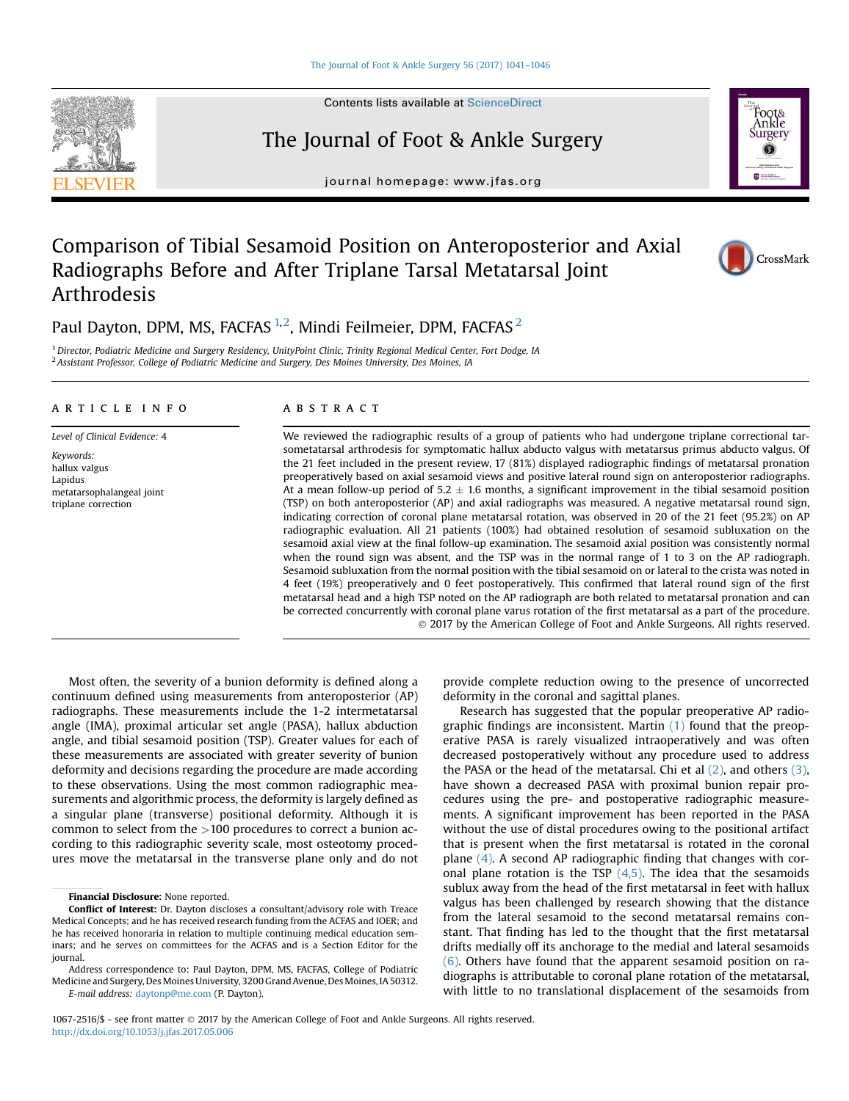**Contents lists available at ScienceDirect** 

# The Journal of Foot & Ankle Surgery

journal homepage: [www.jfas.org](http://www.jfas.org)

# Comparison of Tibial Sesamoid Position on Anteroposterior and Axial Radiographs Before and After Triplane Tarsal Metatarsal Joint Arthrodesis

Paul Dayton, DPM, MS, FACFAS  $^{1,2}$ , Mindi Feilmeier, DPM, FACFAS  $^2$ 

<sup>1</sup> Director, Podiatric Medicine and Surgery Residency, UnityPoint Clinic, Trinity Regional Medical Center, Fort Dodge, IA <sup>2</sup> Assistant Professor, College of Podiatric Medicine and Surgery, Des Moines University, Des Moines, IA

## article info

Level of Clinical Evidence: 4

Keywords: hallux valgus Lapidus metatarsophalangeal joint triplane correction

# **ABSTRACT**

We reviewed the radiographic results of a group of patients who had undergone triplane correctional tarsometatarsal arthrodesis for symptomatic hallux abducto valgus with metatarsus primus abducto valgus. Of the 21 feet included in the present review, 17 (81%) displayed radiographic findings of metatarsal pronation preoperatively based on axial sesamoid views and positive lateral round sign on anteroposterior radiographs. At a mean follow-up period of  $5.2 \pm 1.6$  months, a significant improvement in the tibial sesamoid position (TSP) on both anteroposterior (AP) and axial radiographs was measured. A negative metatarsal round sign, indicating correction of coronal plane metatarsal rotation, was observed in 20 of the 21 feet (95.2%) on AP radiographic evaluation. All 21 patients (100%) had obtained resolution of sesamoid subluxation on the sesamoid axial view at the final follow-up examination. The sesamoid axial position was consistently normal when the round sign was absent, and the TSP was in the normal range of 1 to 3 on the AP radiograph. Sesamoid subluxation from the normal position with the tibial sesamoid on or lateral to the crista was noted in 4 feet (19%) preoperatively and 0 feet postoperatively. This confirmed that lateral round sign of the first metatarsal head and a high TSP noted on the AP radiograph are both related to metatarsal pronation and can be corrected concurrently with coronal plane varus rotation of the first metatarsal as a part of the procedure. 2017 by the American College of Foot and Ankle Surgeons. All rights reserved.

Most often, the severity of a bunion deformity is defined along a continuum defined using measurements from anteroposterior (AP) radiographs. These measurements include the 1-2 intermetatarsal angle (IMA), proximal articular set angle (PASA), hallux abduction angle, and tibial sesamoid position (TSP). Greater values for each of these measurements are associated with greater severity of bunion deformity and decisions regarding the procedure are made according to these observations. Using the most common radiographic measurements and algorithmic process, the deformity is largely defined as a singular plane (transverse) positional deformity. Although it is common to select from the >100 procedures to correct a bunion according to this radiographic severity scale, most osteotomy procedures move the metatarsal in the transverse plane only and do not

provide complete reduction owing to the presence of uncorrected deformity in the coronal and sagittal planes.

Research has suggested that the popular preoperative AP radiographic findings are inconsistent. Martin  $(1)$  found that the preoperative PASA is rarely visualized intraoperatively and was often decreased postoperatively without any procedure used to address the PASA or the head of the metatarsal. Chi et al  $(2)$ , and others  $(3)$ , have shown a decreased PASA with proximal bunion repair procedures using the pre- and postoperative radiographic measurements. A significant improvement has been reported in the PASA without the use of distal procedures owing to the positional artifact that is present when the first metatarsal is rotated in the coronal plane [\(4\).](#page-5-0) A second AP radiographic finding that changes with coronal plane rotation is the TSP  $(4,5)$ . The idea that the sesamoids sublux away from the head of the first metatarsal in feet with hallux valgus has been challenged by research showing that the distance from the lateral sesamoid to the second metatarsal remains constant. That finding has led to the thought that the first metatarsal drifts medially off its anchorage to the medial and lateral sesamoids [\(6\).](#page-5-0) Others have found that the apparent sesamoid position on radiographs is attributable to coronal plane rotation of the metatarsal, with little to no translational displacement of the sesamoids from

1067-2516/\$ - see front matter  $\circ$  2017 by the American College of Foot and Ankle Surgeons. All rights reserved. <http://dx.doi.org/10.1053/j.jfas.2017.05.006>





CrossMark

Financial Disclosure: None reported.

Conflict of Interest: Dr. Dayton discloses a consultant/advisory role with Treace Medical Concepts; and he has received research funding from the ACFAS and IOER; and he has received honoraria in relation to multiple continuing medical education seminars; and he serves on committees for the ACFAS and is a Section Editor for the journal.

Address correspondence to: Paul Dayton, DPM, MS, FACFAS, College of Podiatric Medicine and Surgery, Des Moines University, 3200 Grand Avenue, Des Moines, IA 50312. E-mail address: [daytonp@me.com](mailto:daytonp@me.com) (P. Dayton).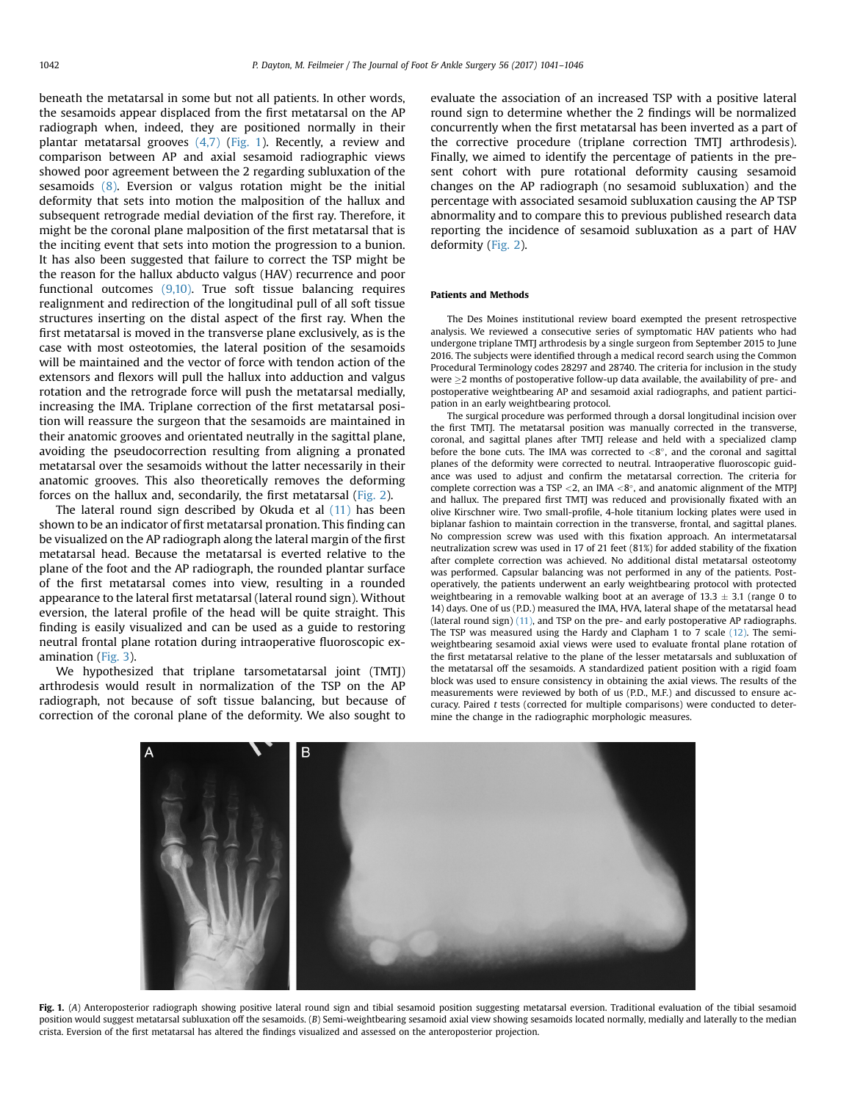beneath the metatarsal in some but not all patients. In other words, the sesamoids appear displaced from the first metatarsal on the AP radiograph when, indeed, they are positioned normally in their plantar metatarsal grooves  $(4,7)$  (Fig. 1). Recently, a review and comparison between AP and axial sesamoid radiographic views showed poor agreement between the 2 regarding subluxation of the sesamoids [\(8\)](#page-5-0). Eversion or valgus rotation might be the initial deformity that sets into motion the malposition of the hallux and subsequent retrograde medial deviation of the first ray. Therefore, it might be the coronal plane malposition of the first metatarsal that is the inciting event that sets into motion the progression to a bunion. It has also been suggested that failure to correct the TSP might be the reason for the hallux abducto valgus (HAV) recurrence and poor functional outcomes  $(9,10)$ . True soft tissue balancing requires realignment and redirection of the longitudinal pull of all soft tissue structures inserting on the distal aspect of the first ray. When the first metatarsal is moved in the transverse plane exclusively, as is the case with most osteotomies, the lateral position of the sesamoids will be maintained and the vector of force with tendon action of the extensors and flexors will pull the hallux into adduction and valgus rotation and the retrograde force will push the metatarsal medially, increasing the IMA. Triplane correction of the first metatarsal position will reassure the surgeon that the sesamoids are maintained in their anatomic grooves and orientated neutrally in the sagittal plane, avoiding the pseudocorrection resulting from aligning a pronated metatarsal over the sesamoids without the latter necessarily in their anatomic grooves. This also theoretically removes the deforming forces on the hallux and, secondarily, the first metatarsal ([Fig. 2\)](#page-2-0).

The lateral round sign described by Okuda et al [\(11\)](#page-5-0) has been shown to be an indicator of first metatarsal pronation. This finding can be visualized on the AP radiograph along the lateral margin of the first metatarsal head. Because the metatarsal is everted relative to the plane of the foot and the AP radiograph, the rounded plantar surface of the first metatarsal comes into view, resulting in a rounded appearance to the lateral first metatarsal (lateral round sign). Without eversion, the lateral profile of the head will be quite straight. This finding is easily visualized and can be used as a guide to restoring neutral frontal plane rotation during intraoperative fluoroscopic examination ([Fig. 3](#page-3-0)).

We hypothesized that triplane tarsometatarsal joint (TMTJ) arthrodesis would result in normalization of the TSP on the AP radiograph, not because of soft tissue balancing, but because of correction of the coronal plane of the deformity. We also sought to

evaluate the association of an increased TSP with a positive lateral round sign to determine whether the 2 findings will be normalized concurrently when the first metatarsal has been inverted as a part of the corrective procedure (triplane correction TMTJ arthrodesis). Finally, we aimed to identify the percentage of patients in the present cohort with pure rotational deformity causing sesamoid changes on the AP radiograph (no sesamoid subluxation) and the percentage with associated sesamoid subluxation causing the AP TSP abnormality and to compare this to previous published research data reporting the incidence of sesamoid subluxation as a part of HAV deformity [\(Fig. 2\)](#page-2-0).

#### Patients and Methods

The Des Moines institutional review board exempted the present retrospective analysis. We reviewed a consecutive series of symptomatic HAV patients who had undergone triplane TMTJ arthrodesis by a single surgeon from September 2015 to June 2016. The subjects were identified through a medical record search using the Common Procedural Terminology codes 28297 and 28740. The criteria for inclusion in the study were  $\geq$  months of postoperative follow-up data available, the availability of pre- and postoperative weightbearing AP and sesamoid axial radiographs, and patient participation in an early weightbearing protocol.

The surgical procedure was performed through a dorsal longitudinal incision over the first TMTJ. The metatarsal position was manually corrected in the transverse, coronal, and sagittal planes after TMTJ release and held with a specialized clamp before the bone cuts. The IMA was corrected to  $\langle 8^\circ \rangle$  and the coronal and sagittal planes of the deformity were corrected to neutral. Intraoperative fluoroscopic guidance was used to adjust and confirm the metatarsal correction. The criteria for complete correction was a TSP <2, an IMA <8°, and anatomic alignment of the MTPJ and hallux. The prepared first TMTJ was reduced and provisionally fixated with an olive Kirschner wire. Two small-profile, 4-hole titanium locking plates were used in biplanar fashion to maintain correction in the transverse, frontal, and sagittal planes. No compression screw was used with this fixation approach. An intermetatarsal neutralization screw was used in 17 of 21 feet (81%) for added stability of the fixation after complete correction was achieved. No additional distal metatarsal osteotomy was performed. Capsular balancing was not performed in any of the patients. Postoperatively, the patients underwent an early weightbearing protocol with protected weightbearing in a removable walking boot at an average of  $13.3 \pm 3.1$  (range 0 to 14) days. One of us (P.D.) measured the IMA, HVA, lateral shape of the metatarsal head (lateral round sign) [\(11\)](#page-5-0), and TSP on the pre- and early postoperative AP radiographs. The TSP was measured using the Hardy and Clapham 1 to 7 scale [\(12\).](#page-5-0) The semiweightbearing sesamoid axial views were used to evaluate frontal plane rotation of the first metatarsal relative to the plane of the lesser metatarsals and subluxation of the metatarsal off the sesamoids. A standardized patient position with a rigid foam block was used to ensure consistency in obtaining the axial views. The results of the measurements were reviewed by both of us (P.D., M.F.) and discussed to ensure accuracy. Paired  $t$  tests (corrected for multiple comparisons) were conducted to determine the change in the radiographic morphologic measures.



Fig. 1. (A) Anteroposterior radiograph showing positive lateral round sign and tibial sesamoid position suggesting metatarsal eversion. Traditional evaluation of the tibial sesamoid position would suggest metatarsal subluxation off the sesamoids. (B) Semi-weightbearing sesamoid axial view showing sesamoids located normally, medially and laterally to the median crista. Eversion of the first metatarsal has altered the findings visualized and assessed on the anteroposterior projection.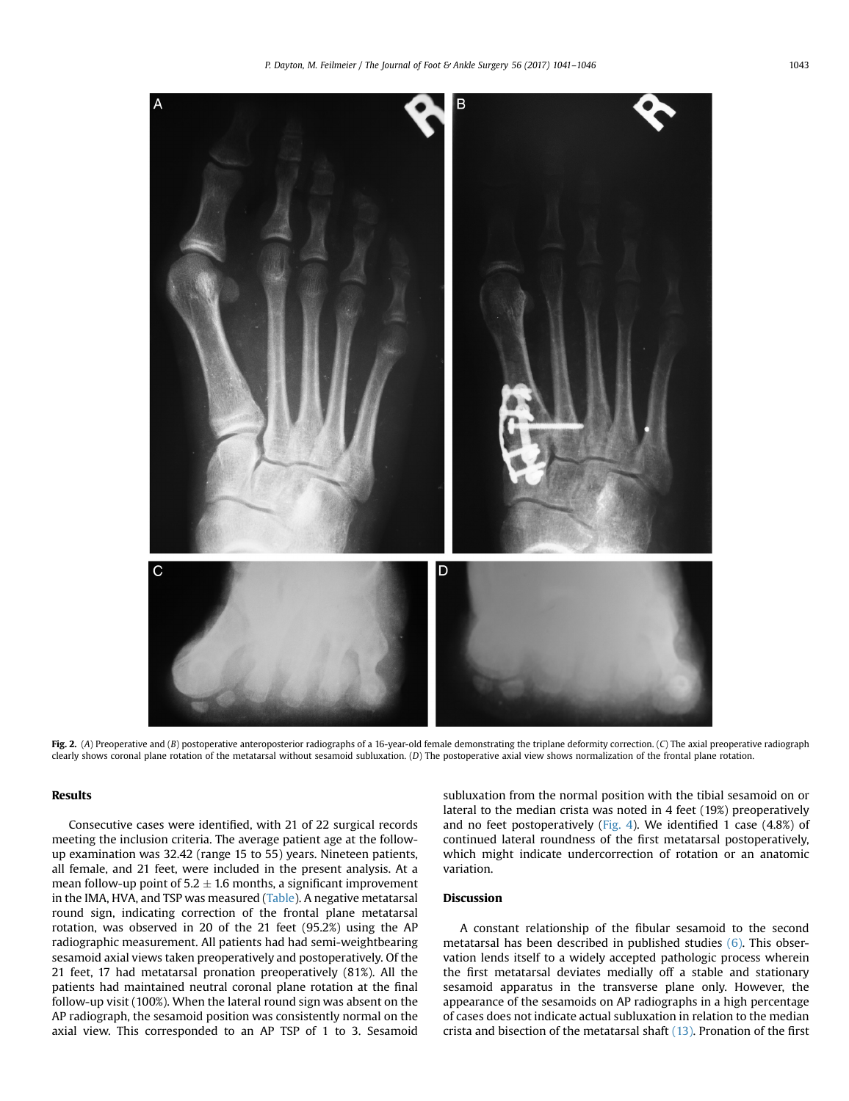<span id="page-2-0"></span>

Fig. 2. (A) Preoperative and (B) postoperative anteroposterior radiographs of a 16-year-old female demonstrating the triplane deformity correction. (C) The axial preoperative radiograph clearly shows coronal plane rotation of the metatarsal without sesamoid subluxation. (D) The postoperative axial view shows normalization of the frontal plane rotation.

### Results

Consecutive cases were identified, with 21 of 22 surgical records meeting the inclusion criteria. The average patient age at the followup examination was 32.42 (range 15 to 55) years. Nineteen patients, all female, and 21 feet, were included in the present analysis. At a mean follow-up point of  $5.2 \pm 1.6$  months, a significant improvement in the IMA, HVA, and TSP was measured ([Table](#page-3-0)). A negative metatarsal round sign, indicating correction of the frontal plane metatarsal rotation, was observed in 20 of the 21 feet (95.2%) using the AP radiographic measurement. All patients had had semi-weightbearing sesamoid axial views taken preoperatively and postoperatively. Of the 21 feet, 17 had metatarsal pronation preoperatively (81%). All the patients had maintained neutral coronal plane rotation at the final follow-up visit (100%). When the lateral round sign was absent on the AP radiograph, the sesamoid position was consistently normal on the axial view. This corresponded to an AP TSP of 1 to 3. Sesamoid subluxation from the normal position with the tibial sesamoid on or lateral to the median crista was noted in 4 feet (19%) preoperatively and no feet postoperatively [\(Fig. 4\)](#page-4-0). We identified 1 case (4.8%) of continued lateral roundness of the first metatarsal postoperatively, which might indicate undercorrection of rotation or an anatomic variation.

## Discussion

A constant relationship of the fibular sesamoid to the second metatarsal has been described in published studies [\(6\).](#page-5-0) This observation lends itself to a widely accepted pathologic process wherein the first metatarsal deviates medially off a stable and stationary sesamoid apparatus in the transverse plane only. However, the appearance of the sesamoids on AP radiographs in a high percentage of cases does not indicate actual subluxation in relation to the median crista and bisection of the metatarsal shaft [\(13\).](#page-5-0) Pronation of the first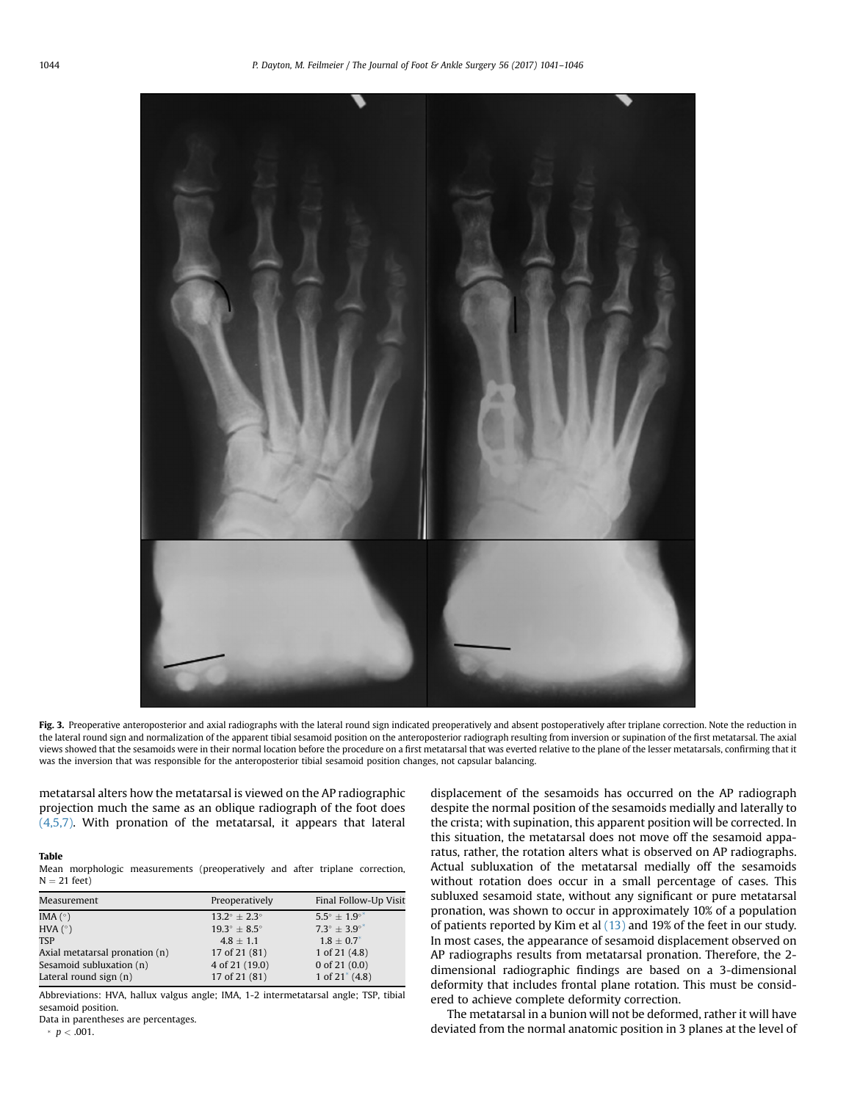<span id="page-3-0"></span>

Fig. 3. Preoperative anteroposterior and axial radiographs with the lateral round sign indicated preoperatively and absent postoperatively after triplane correction. Note the reduction in the lateral round sign and normalization of the apparent tibial sesamoid position on the anteroposterior radiograph resulting from inversion or supination of the first metatarsal. The axial views showed that the sesamoids were in their normal location before the procedure on a first metatarsal that was everted relative to the plane of the lesser metatarsals, confirming that it was the inversion that was responsible for the anteroposterior tibial sesamoid position changes, not capsular balancing.

metatarsal alters how the metatarsal is viewed on the AP radiographic projection much the same as an oblique radiograph of the foot does [\(4,5,7\).](#page-5-0) With pronation of the metatarsal, it appears that lateral

#### Table

|                | Mean morphologic measurements (preoperatively and after triplane correction, |  |  |
|----------------|------------------------------------------------------------------------------|--|--|
| $N = 21$ feet) |                                                                              |  |  |

| Measurement                    | Preoperatively                 | Final Follow-Up Visit             |
|--------------------------------|--------------------------------|-----------------------------------|
| IMA $(^\circ)$                 | $13.2^{\circ} \pm 2.3^{\circ}$ | $5.5^{\circ} \pm 1.9^{\circ}{}^*$ |
| HVA (°)                        | $19.3^{\circ} \pm 8.5^{\circ}$ | $7.3^{\circ} \pm 3.9^{\circ}$ *   |
| <b>TSP</b>                     | $4.8 \pm 1.1$                  | $1.8 \pm 0.7^*$                   |
| Axial metatarsal pronation (n) | 17 of 21 (81)                  | 1 of $21(4.8)$                    |
| Sesamoid subluxation (n)       | 4 of 21 (19.0)                 | 0 of $21(0.0)$                    |
| Lateral round sign $(n)$       | 17 of 21 (81)                  | 1 of $21^*$ (4.8)                 |

Abbreviations: HVA, hallux valgus angle; IMA, 1-2 intermetatarsal angle; TSP, tibial sesamoid position.

Data in parentheses are percentages.

 $p < .001$ .

displacement of the sesamoids has occurred on the AP radiograph despite the normal position of the sesamoids medially and laterally to the crista; with supination, this apparent position will be corrected. In this situation, the metatarsal does not move off the sesamoid apparatus, rather, the rotation alters what is observed on AP radiographs. Actual subluxation of the metatarsal medially off the sesamoids without rotation does occur in a small percentage of cases. This subluxed sesamoid state, without any significant or pure metatarsal pronation, was shown to occur in approximately 10% of a population of patients reported by Kim et al [\(13\)](#page-5-0) and 19% of the feet in our study. In most cases, the appearance of sesamoid displacement observed on AP radiographs results from metatarsal pronation. Therefore, the 2 dimensional radiographic findings are based on a 3-dimensional deformity that includes frontal plane rotation. This must be considered to achieve complete deformity correction.

The metatarsal in a bunion will not be deformed, rather it will have deviated from the normal anatomic position in 3 planes at the level of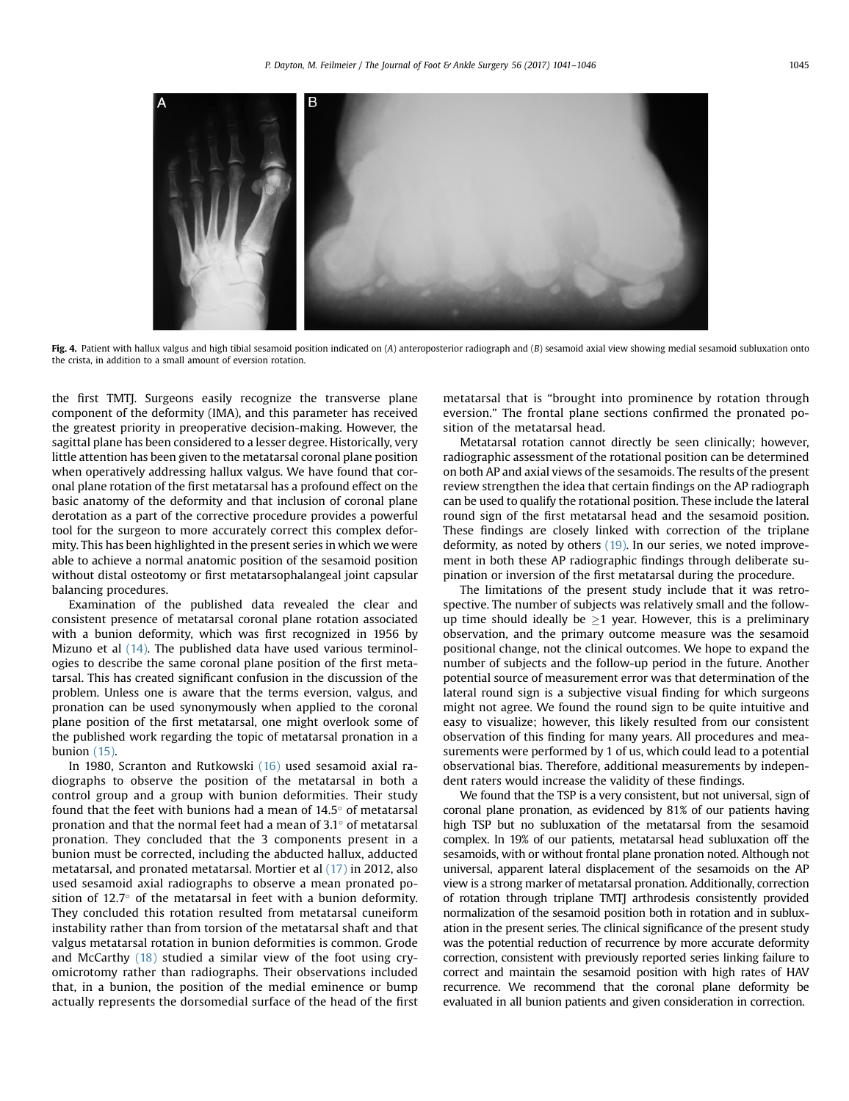<span id="page-4-0"></span>

Fig. 4. Patient with hallux valgus and high tibial sesamoid position indicated on  $(A)$  anteroposterior radiograph and  $(B)$  sesamoid axial view showing medial sesamoid subluxation onto the crista, in addition to a small amount of eversion rotation.

the first TMTJ. Surgeons easily recognize the transverse plane component of the deformity (IMA), and this parameter has received the greatest priority in preoperative decision-making. However, the sagittal plane has been considered to a lesser degree. Historically, very little attention has been given to the metatarsal coronal plane position when operatively addressing hallux valgus. We have found that coronal plane rotation of the first metatarsal has a profound effect on the basic anatomy of the deformity and that inclusion of coronal plane derotation as a part of the corrective procedure provides a powerful tool for the surgeon to more accurately correct this complex deformity. This has been highlighted in the present series in which we were able to achieve a normal anatomic position of the sesamoid position without distal osteotomy or first metatarsophalangeal joint capsular balancing procedures.

Examination of the published data revealed the clear and consistent presence of metatarsal coronal plane rotation associated with a bunion deformity, which was first recognized in 1956 by Mizuno et al [\(14\).](#page-5-0) The published data have used various terminologies to describe the same coronal plane position of the first metatarsal. This has created significant confusion in the discussion of the problem. Unless one is aware that the terms eversion, valgus, and pronation can be used synonymously when applied to the coronal plane position of the first metatarsal, one might overlook some of the published work regarding the topic of metatarsal pronation in a bunion [\(15\)](#page-5-0).

In 1980, Scranton and Rutkowski [\(16\)](#page-5-0) used sesamoid axial radiographs to observe the position of the metatarsal in both a control group and a group with bunion deformities. Their study found that the feet with bunions had a mean of  $14.5^\circ$  of metatarsal pronation and that the normal feet had a mean of  $3.1^\circ$  of metatarsal pronation. They concluded that the 3 components present in a bunion must be corrected, including the abducted hallux, adducted metatarsal, and pronated metatarsal. Mortier et al [\(17\)](#page-5-0) in 2012, also used sesamoid axial radiographs to observe a mean pronated position of 12.7 $\degree$  of the metatarsal in feet with a bunion deformity. They concluded this rotation resulted from metatarsal cuneiform instability rather than from torsion of the metatarsal shaft and that valgus metatarsal rotation in bunion deformities is common. Grode and McCarthy [\(18\)](#page-5-0) studied a similar view of the foot using cryomicrotomy rather than radiographs. Their observations included that, in a bunion, the position of the medial eminence or bump actually represents the dorsomedial surface of the head of the first metatarsal that is "brought into prominence by rotation through eversion." The frontal plane sections confirmed the pronated position of the metatarsal head.

Metatarsal rotation cannot directly be seen clinically; however, radiographic assessment of the rotational position can be determined on both AP and axial views of the sesamoids. The results of the present review strengthen the idea that certain findings on the AP radiograph can be used to qualify the rotational position. These include the lateral round sign of the first metatarsal head and the sesamoid position. These findings are closely linked with correction of the triplane deformity, as noted by others [\(19\)](#page-5-0). In our series, we noted improvement in both these AP radiographic findings through deliberate supination or inversion of the first metatarsal during the procedure.

The limitations of the present study include that it was retrospective. The number of subjects was relatively small and the followup time should ideally be  $\geq$ 1 year. However, this is a preliminary observation, and the primary outcome measure was the sesamoid positional change, not the clinical outcomes. We hope to expand the number of subjects and the follow-up period in the future. Another potential source of measurement error was that determination of the lateral round sign is a subjective visual finding for which surgeons might not agree. We found the round sign to be quite intuitive and easy to visualize; however, this likely resulted from our consistent observation of this finding for many years. All procedures and measurements were performed by 1 of us, which could lead to a potential observational bias. Therefore, additional measurements by independent raters would increase the validity of these findings.

We found that the TSP is a very consistent, but not universal, sign of coronal plane pronation, as evidenced by 81% of our patients having high TSP but no subluxation of the metatarsal from the sesamoid complex. In 19% of our patients, metatarsal head subluxation off the sesamoids, with or without frontal plane pronation noted. Although not universal, apparent lateral displacement of the sesamoids on the AP view is a strong marker of metatarsal pronation. Additionally, correction of rotation through triplane TMTJ arthrodesis consistently provided normalization of the sesamoid position both in rotation and in subluxation in the present series. The clinical significance of the present study was the potential reduction of recurrence by more accurate deformity correction, consistent with previously reported series linking failure to correct and maintain the sesamoid position with high rates of HAV recurrence. We recommend that the coronal plane deformity be evaluated in all bunion patients and given consideration in correction.